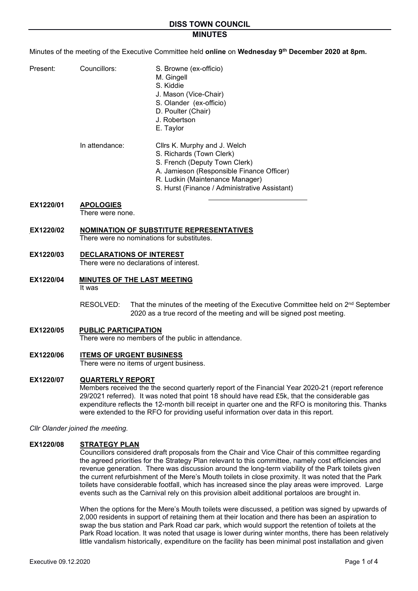### **MINUTES**

Minutes of the meeting of the Executive Committee held **online** on **Wednesday 9th December 2020 at 8pm.** 

- Present: Councillors: S. Browne (ex-officio)
	- M. Gingell
		- S. Kiddie
		- J. Mason (Vice-Chair)
		- S. Olander (ex-officio)
		- D. Poulter (Chair)
		- J. Robertson
		- E. Taylor

In attendance: Cllrs K. Murphy and J. Welch

# S. Richards (Town Clerk)

- S. French (Deputy Town Clerk)
- A. Jamieson (Responsible Finance Officer)
- R. Ludkin (Maintenance Manager)
- S. Hurst (Finance / Administrative Assistant)

### **EX1220/01 APOLOGIES**

There were none.

### **EX1220/02 NOMINATION OF SUBSTITUTE REPRESENTATIVES**

There were no nominations for substitutes.

### **EX1220/03 DECLARATIONS OF INTEREST**

There were no declarations of interest.

- **EX1220/04 MINUTES OF THE LAST MEETING** It was
	- RESOLVED: That the minutes of the meeting of the Executive Committee held on 2<sup>nd</sup> September 2020 as a true record of the meeting and will be signed post meeting.
- **EX1220/05 PUBLIC PARTICIPATION** There were no members of the public in attendance.
- **EX1220/06 ITEMS OF URGENT BUSINESS**

There were no items of urgent business.

#### **EX1220/07 QUARTERLY REPORT**

Members received the the second quarterly report of the Financial Year 2020-21 (report reference 29/2021 referred). It was noted that point 18 should have read £5k, that the considerable gas expenditure reflects the 12-month bill receipt in quarter one and the RFO is monitoring this. Thanks were extended to the RFO for providing useful information over data in this report.

*Cllr Olander joined the meeting.* 

### **EX1220/08 STRATEGY PLAN**

Councillors considered draft proposals from the Chair and Vice Chair of this committee regarding the agreed priorities for the Strategy Plan relevant to this committee, namely cost efficiencies and revenue generation. There was discussion around the long-term viability of the Park toilets given the current refurbishment of the Mere's Mouth toilets in close proximity. It was noted that the Park toilets have considerable footfall, which has increased since the play areas were improved. Large events such as the Carnival rely on this provision albeit additional portaloos are brought in.

When the options for the Mere's Mouth toilets were discussed, a petition was signed by upwards of 2,000 residents in support of retaining them at their location and there has been an aspiration to swap the bus station and Park Road car park, which would support the retention of toilets at the Park Road location. It was noted that usage is lower during winter months, there has been relatively little vandalism historically, expenditure on the facility has been minimal post installation and given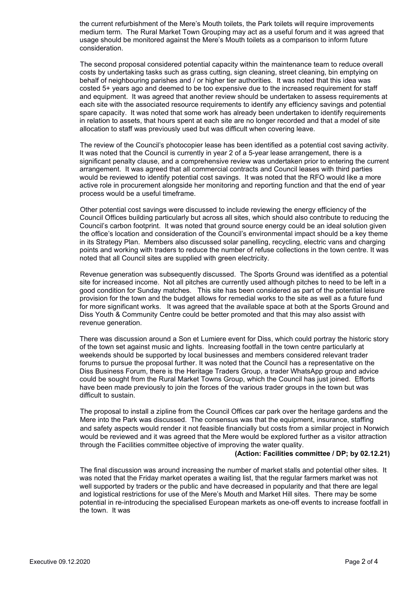the current refurbishment of the Mere's Mouth toilets, the Park toilets will require improvements medium term. The Rural Market Town Grouping may act as a useful forum and it was agreed that usage should be monitored against the Mere's Mouth toilets as a comparison to inform future consideration.

The second proposal considered potential capacity within the maintenance team to reduce overall costs by undertaking tasks such as grass cutting, sign cleaning, street cleaning, bin emptying on behalf of neighbouring parishes and / or higher tier authorities. It was noted that this idea was costed 5+ years ago and deemed to be too expensive due to the increased requirement for staff and equipment. It was agreed that another review should be undertaken to assess requirements at each site with the associated resource requirements to identify any efficiency savings and potential spare capacity. It was noted that some work has already been undertaken to identify requirements in relation to assets, that hours spent at each site are no longer recorded and that a model of site allocation to staff was previously used but was difficult when covering leave.

The review of the Council's photocopier lease has been identified as a potential cost saving activity. It was noted that the Council is currently in year 2 of a 5-year lease arrangement, there is a significant penalty clause, and a comprehensive review was undertaken prior to entering the current arrangement. It was agreed that all commercial contracts and Council leases with third parties would be reviewed to identify potential cost savings. It was noted that the RFO would like a more active role in procurement alongside her monitoring and reporting function and that the end of year process would be a useful timeframe.

Other potential cost savings were discussed to include reviewing the energy efficiency of the Council Offices building particularly but across all sites, which should also contribute to reducing the Council's carbon footprint. It was noted that ground source energy could be an ideal solution given the office's location and consideration of the Council's environmental impact should be a key theme in its Strategy Plan. Members also discussed solar panelling, recycling, electric vans and charging points and working with traders to reduce the number of refuse collections in the town centre. It was noted that all Council sites are supplied with green electricity.

Revenue generation was subsequently discussed. The Sports Ground was identified as a potential site for increased income. Not all pitches are currently used although pitches to need to be left in a good condition for Sunday matches. This site has been considered as part of the potential leisure provision for the town and the budget allows for remedial works to the site as well as a future fund for more significant works. It was agreed that the available space at both at the Sports Ground and Diss Youth & Community Centre could be better promoted and that this may also assist with revenue generation.

There was discussion around a Son et Lumiere event for Diss, which could portray the historic story of the town set against music and lights. Increasing footfall in the town centre particularly at weekends should be supported by local businesses and members considered relevant trader forums to pursue the proposal further. It was noted that the Council has a representative on the Diss Business Forum, there is the Heritage Traders Group, a trader WhatsApp group and advice could be sought from the Rural Market Towns Group, which the Council has just joined. Efforts have been made previously to join the forces of the various trader groups in the town but was difficult to sustain.

The proposal to install a zipline from the Council Offices car park over the heritage gardens and the Mere into the Park was discussed. The consensus was that the equipment, insurance, staffing and safety aspects would render it not feasible financially but costs from a similar project in Norwich would be reviewed and it was agreed that the Mere would be explored further as a visitor attraction through the Facilities committee objective of improving the water quality.

#### **(Action: Facilities committee / DP; by 02.12.21)**

The final discussion was around increasing the number of market stalls and potential other sites. It was noted that the Friday market operates a waiting list, that the regular farmers market was not well supported by traders or the public and have decreased in popularity and that there are legal and logistical restrictions for use of the Mere's Mouth and Market Hill sites. There may be some potential in re-introducing the specialised European markets as one-off events to increase footfall in the town. It was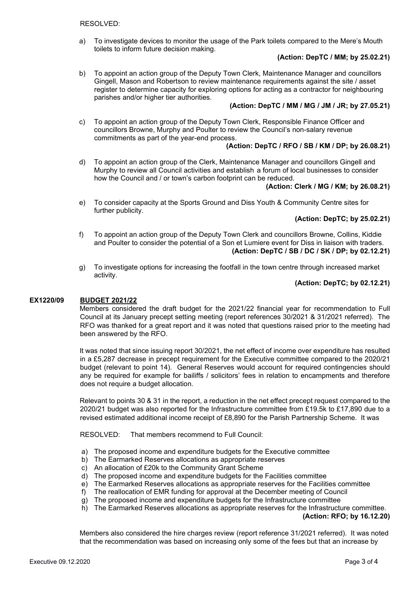a) To investigate devices to monitor the usage of the Park toilets compared to the Mere's Mouth toilets to inform future decision making.

### **(Action: DepTC / MM; by 25.02.21)**

b) To appoint an action group of the Deputy Town Clerk, Maintenance Manager and councillors Gingell, Mason and Robertson to review maintenance requirements against the site / asset register to determine capacity for exploring options for acting as a contractor for neighbouring parishes and/or higher tier authorities.

# **(Action: DepTC / MM / MG / JM / JR; by 27.05.21)**

c) To appoint an action group of the Deputy Town Clerk, Responsible Finance Officer and councillors Browne, Murphy and Poulter to review the Council's non-salary revenue commitments as part of the year-end process.

# **(Action: DepTC / RFO / SB / KM / DP; by 26.08.21)**

d) To appoint an action group of the Clerk, Maintenance Manager and councillors Gingell and Murphy to review all Council activities and establish a forum of local businesses to consider how the Council and / or town's carbon footprint can be reduced.

# **(Action: Clerk / MG / KM; by 26.08.21)**

e) To consider capacity at the Sports Ground and Diss Youth & Community Centre sites for further publicity.

# **(Action: DepTC; by 25.02.21)**

- f) To appoint an action group of the Deputy Town Clerk and councillors Browne, Collins, Kiddie and Poulter to consider the potential of a Son et Lumiere event for Diss in liaison with traders. **(Action: DepTC / SB / DC / SK / DP; by 02.12.21)**
- g) To investigate options for increasing the footfall in the town centre through increased market activity.

# **(Action: DepTC; by 02.12.21)**

### **EX1220/09 BUDGET 2021/22**

Members considered the draft budget for the 2021/22 financial year for recommendation to Full Council at its January precept setting meeting (report references 30/2021 & 31/2021 referred). The RFO was thanked for a great report and it was noted that questions raised prior to the meeting had been answered by the RFO.

It was noted that since issuing report 30/2021, the net effect of income over expenditure has resulted in a £5,287 decrease in precept requirement for the Executive committee compared to the 2020/21 budget (relevant to point 14). General Reserves would account for required contingencies should any be required for example for bailiffs / solicitors' fees in relation to encampments and therefore does not require a budget allocation.

Relevant to points 30 & 31 in the report, a reduction in the net effect precept request compared to the 2020/21 budget was also reported for the Infrastructure committee from £19.5k to £17,890 due to a revised estimated additional income receipt of £8,890 for the Parish Partnership Scheme. It was

RESOLVED: That members recommend to Full Council:

- a) The proposed income and expenditure budgets for the Executive committee
- b) The Earmarked Reserves allocations as appropriate reserves
- c) An allocation of £20k to the Community Grant Scheme
- d) The proposed income and expenditure budgets for the Facilities committee
- e) The Earmarked Reserves allocations as appropriate reserves for the Facilities committee
- f) The reallocation of EMR funding for approval at the December meeting of Council
- g) The proposed income and expenditure budgets for the Infrastructure committee
- h) The Earmarked Reserves allocations as appropriate reserves for the Infrastructure committee.

### **(Action: RFO; by 16.12.20)**

Members also considered the hire charges review (report reference 31/2021 referred). It was noted that the recommendation was based on increasing only some of the fees but that an increase by